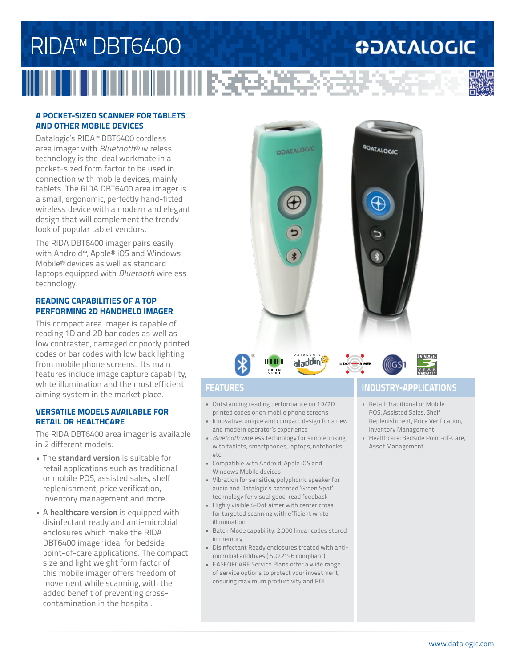## RIDA™ DBT6400 **ODATALOGIC** - 1000 2000 2010

### **A POCKET-SIZED SCANNER FOR TABLETS AND OTHER MOBILE DEVICES**

Datalogic's RIDA™ DBT6400 cordless area imager with *Bluetooth*® wireless technology is the ideal workmate in a pocket-sized form factor to be used in connection with mobile devices, mainly tablets. The RIDA DBT6400 area imager is a small, ergonomic, perfectly hand-fitted wireless device with a modern and elegant design that will complement the trendy look of popular tablet vendors.

The RIDA DBT6400 imager pairs easily with Android™, Apple® iOS and Windows Mobile® devices as well as standard laptops equipped with *Bluetooth* wireless technology.

### **READING CAPABILITIES OF A TOP PERFORMING 2D HANDHELD IMAGER**

This compact area imager is capable of reading 1D and 2D bar codes as well as low contrasted, damaged or poorly printed codes or bar codes with low back lighting from mobile phone screens. Its main features include image capture capability, white illumination and the most efficient aiming system in the market place.

### **VERSATILE MODELS AVAILABLE FOR RETAIL OR HEALTHCARE**

The RIDA DBT6400 area imager is available in 2 different models:

- The **standard version** is suitable for retail applications such as traditional or mobile POS, assisted sales, shelf replenishment, price verification, inventory management and more.
- A **healthcare version** is equipped with disinfectant ready and anti-microbial enclosures which make the RIDA DBT6400 imager ideal for bedside point-of-care applications. The compact size and light weight form factor of this mobile imager offers freedom of movement while scanning, with the added benefit of preventing crosscontamination in the hospital.

aladding

**GOATALOGIC** 



4 DOT + AIMER

**ODATALOGIC** 



• Outstanding reading performance on 1D/2D printed codes or on mobile phone screens

**GREEN SPOT**

**ULTILL** 

- Innovative, unique and compact design for a new and modern operator's experience
- *• Bluetooth* wireless technology for simple linking with tablets, smartphones, laptops, notebooks, etc.
- Compatible with Android, Apple iOS and Windows Mobile devices
- Vibration for sensitive, polyphonic speaker for audio and Datalogic's patented 'Green Spot' technology for visual good-read feedback
- Highly visible 4-Dot aimer with center cross for targeted scanning with efficient white illumination
- Batch Mode capability: 2,000 linear codes stored in memory
- Disinfectant Ready enclosures treated with antimicrobial additives (ISO22196 compliant)
- EASEOFCARE Service Plans offer a wide range of service options to protect your investment, ensuring maximum productivity and ROI

## **FEATURES INDUSTRY-APPLICATIONS**

- Retail: Traditional or Mobile POS, Assisted Sales, Shelf Replenishment, Price Verification, Inventory Management
- Healthcare: Bedside Point-of-Care, Asset Management